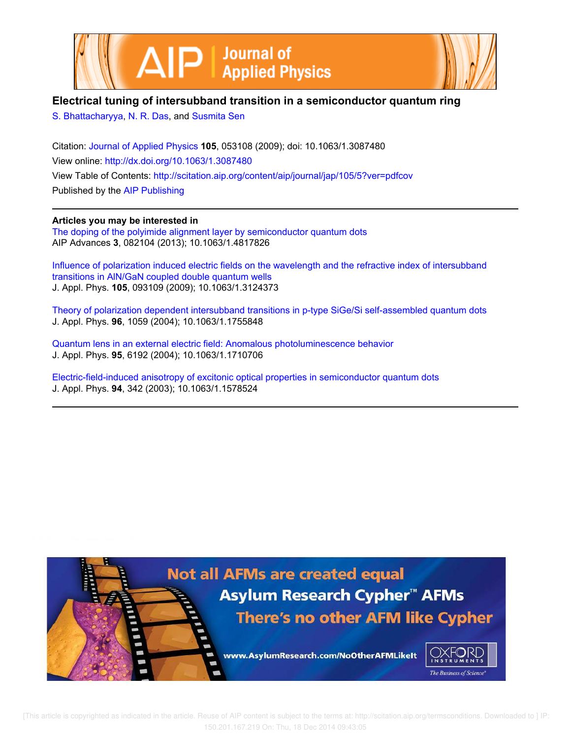



# **Electrical tuning of intersubband transition in a semiconductor quantum ring**

S. Bhattacharyya, N. R. Das, and Susmita Sen

Citation: Journal of Applied Physics **105**, 053108 (2009); doi: 10.1063/1.3087480 View online: http://dx.doi.org/10.1063/1.3087480 View Table of Contents: http://scitation.aip.org/content/aip/journal/jap/105/5?ver=pdfcov Published by the AIP Publishing

**Articles you may be interested in** The doping of the polyimide alignment layer by semiconductor quantum dots AIP Advances **3**, 082104 (2013); 10.1063/1.4817826

Influence of polarization induced electric fields on the wavelength and the refractive index of intersubband transitions in AlN/GaN coupled double quantum wells J. Appl. Phys. **105**, 093109 (2009); 10.1063/1.3124373

Theory of polarization dependent intersubband transitions in p-type SiGe/Si self-assembled quantum dots J. Appl. Phys. **96**, 1059 (2004); 10.1063/1.1755848

Quantum lens in an external electric field: Anomalous photoluminescence behavior J. Appl. Phys. **95**, 6192 (2004); 10.1063/1.1710706

Electric-field-induced anisotropy of excitonic optical properties in semiconductor quantum dots J. Appl. Phys. **94**, 342 (2003); 10.1063/1.1578524



 [This article is copyrighted as indicated in the article. Reuse of AIP content is subject to the terms at: http://scitation.aip.org/termsconditions. Downloaded to ] IP: 150.201.167.219 On: Thu, 18 Dec 2014 09:43:05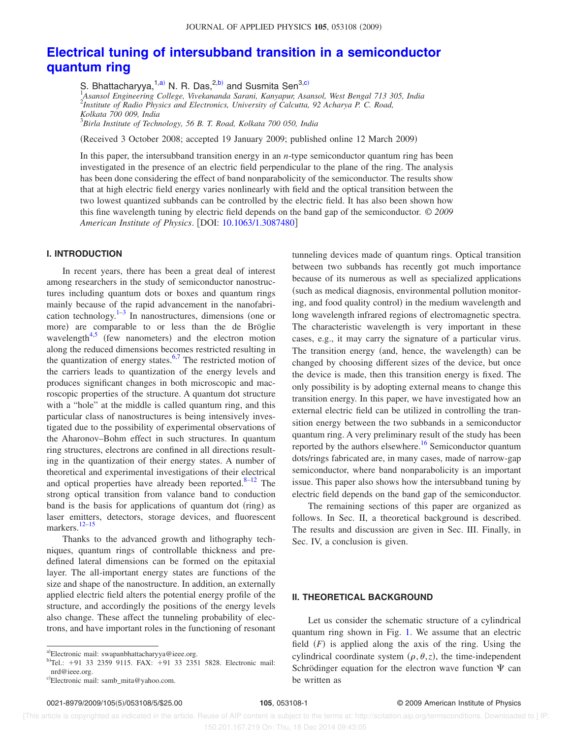# **Electrical tuning of intersubband transition in a semiconductor quantum ring**

S. Bhattacharyya,<sup>1,a)</sup> N. R. Das,<sup>2,b)</sup> and Susmita Sen<sup>3,c)</sup> 1 *Asansol Engineering College, Vivekananda Sarani, Kanyapur, Asansol, West Bengal 713 305, India* 2 *Institute of Radio Physics and Electronics, University of Calcutta, 92 Acharya P. C. Road, Kolkata 700 009, India* 3 *Birla Institute of Technology, 56 B. T. Road, Kolkata 700 050, India*

Received 3 October 2008; accepted 19 January 2009; published online 12 March 2009-

In this paper, the intersubband transition energy in an *n*-type semiconductor quantum ring has been investigated in the presence of an electric field perpendicular to the plane of the ring. The analysis has been done considering the effect of band nonparabolicity of the semiconductor. The results show that at high electric field energy varies nonlinearly with field and the optical transition between the two lowest quantized subbands can be controlled by the electric field. It has also been shown how this fine wavelength tuning by electric field depends on the band gap of the semiconductor. © *2009 American Institute of Physics*. DOI: 10.1063/1.3087480

#### **I. INTRODUCTION**

In recent years, there has been a great deal of interest among researchers in the study of semiconductor nanostructures including quantum dots or boxes and quantum rings mainly because of the rapid advancement in the nanofabrication technology. $1-3$  In nanostructures, dimensions (one or more) are comparable to or less than the de Bröglie wavelength $4.5$  (few nanometers) and the electron motion along the reduced dimensions becomes restricted resulting in the quantization of energy states. $6,7$  The restricted motion of the carriers leads to quantization of the energy levels and produces significant changes in both microscopic and macroscopic properties of the structure. A quantum dot structure with a "hole" at the middle is called quantum ring, and this particular class of nanostructures is being intensively investigated due to the possibility of experimental observations of the Aharonov–Bohm effect in such structures. In quantum ring structures, electrons are confined in all directions resulting in the quantization of their energy states. A number of theoretical and experimental investigations of their electrical and optical properties have already been reported. $8-12$  The strong optical transition from valance band to conduction band is the basis for applications of quantum dot (ring) as laser emitters, detectors, storage devices, and fluorescent markers.<sup>12–15</sup>

Thanks to the advanced growth and lithography techniques, quantum rings of controllable thickness and predefined lateral dimensions can be formed on the epitaxial layer. The all-important energy states are functions of the size and shape of the nanostructure. In addition, an externally applied electric field alters the potential energy profile of the structure, and accordingly the positions of the energy levels also change. These affect the tunneling probability of electrons, and have important roles in the functioning of resonant tunneling devices made of quantum rings. Optical transition between two subbands has recently got much importance because of its numerous as well as specialized applications (such as medical diagnosis, environmental pollution monitoring, and food quality control) in the medium wavelength and long wavelength infrared regions of electromagnetic spectra. The characteristic wavelength is very important in these cases, e.g., it may carry the signature of a particular virus. The transition energy (and, hence, the wavelength) can be changed by choosing different sizes of the device, but once the device is made, then this transition energy is fixed. The only possibility is by adopting external means to change this transition energy. In this paper, we have investigated how an external electric field can be utilized in controlling the transition energy between the two subbands in a semiconductor quantum ring. A very preliminary result of the study has been reported by the authors elsewhere.<sup>16</sup> Semiconductor quantum dots/rings fabricated are, in many cases, made of narrow-gap semiconductor, where band nonparabolicity is an important issue. This paper also shows how the intersubband tuning by electric field depends on the band gap of the semiconductor.

The remaining sections of this paper are organized as follows. In Sec. II, a theoretical background is described. The results and discussion are given in Sec. III. Finally, in Sec. IV, a conclusion is given.

#### **II. THEORETICAL BACKGROUND**

Let us consider the schematic structure of a cylindrical quantum ring shown in Fig. 1. We assume that an electric field  $(F)$  is applied along the axis of the ring. Using the cylindrical coordinate system  $(\rho, \theta, z)$ , the time-independent Schrödinger equation for the electron wave function  $\Psi$  can be written as

a)Electronic mail: swapanbhattacharyya@ieee.org.

b)Tel.: +91 33 2359 9115. FAX: +91 33 2351 5828. Electronic mail: nrd@ieee.org.

c)Electronic mail: samb\_mita@yahoo.com.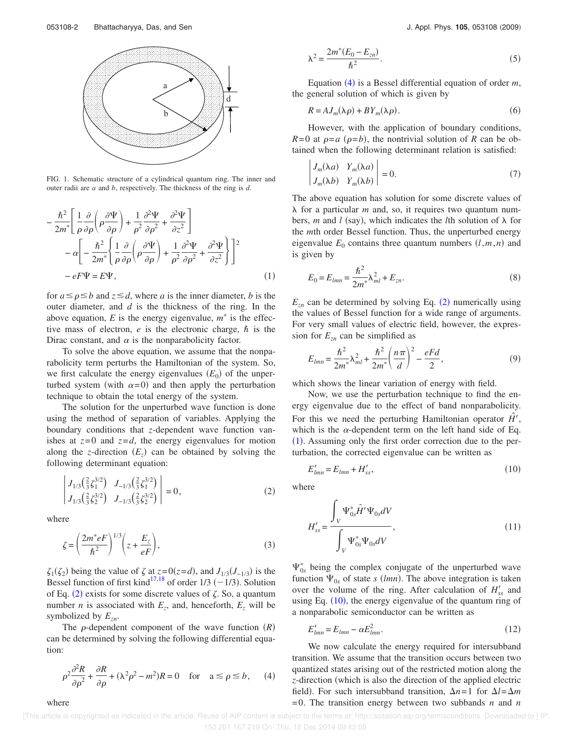

FIG. 1. Schematic structure of a cylindrical quantum ring. The inner and outer radii are *a* and *b*, respectively. The thickness of the ring is *d*.

$$
-\frac{\hbar^2}{2m^*} \left[ \frac{1}{\rho} \frac{\partial}{\partial \rho} \left( \rho \frac{\partial \Psi}{\partial \rho} \right) + \frac{1}{\rho^2} \frac{\partial^2 \Psi}{\partial \rho^2} + \frac{\partial^2 \Psi}{\partial z^2} \right] \n- \alpha \left[ -\frac{\hbar^2}{2m^*} \left\{ \frac{1}{\rho} \frac{\partial}{\partial \rho} \left( \rho \frac{\partial \Psi}{\partial \rho} \right) + \frac{1}{\rho^2} \frac{\partial^2 \Psi}{\partial \rho^2} + \frac{\partial^2 \Psi}{\partial z^2} \right\} \right]^2 \n- eF \Psi = E \Psi,
$$
\n(1)

for  $a \leq p \leq b$  and  $z \leq d$ , where *a* is the inner diameter, *b* is the outer diameter, and *d* is the thickness of the ring. In the above equation,  $E$  is the energy eigenvalue,  $m^*$  is the effective mass of electron,  $e$  is the electronic charge,  $\hbar$  is the Dirac constant, and  $\alpha$  is the nonparabolicity factor.

To solve the above equation, we assume that the nonparabolicity term perturbs the Hamiltonian of the system. So, we first calculate the energy eigenvalues  $(E_0)$  of the unperturbed system (with  $\alpha = 0$ ) and then apply the perturbation technique to obtain the total energy of the system.

The solution for the unperturbed wave function is done using the method of separation of variables. Applying the boundary conditions that *z*-dependent wave function vanishes at  $z=0$  and  $z=d$ , the energy eigenvalues for motion along the *z*-direction  $(E_z)$  can be obtained by solving the following determinant equation:

$$
\begin{vmatrix} J_{1/3} \left(\frac{2}{3} \zeta_1^{3/2}\right) & J_{-1/3} \left(\frac{2}{3} \zeta_1^{3/2}\right) \\ J_{1/3} \left(\frac{2}{3} \zeta_2^{3/2}\right) & J_{-1/3} \left(\frac{2}{3} \zeta_2^{3/2}\right) \end{vmatrix} = 0, \tag{2}
$$

where

where

$$
\zeta = \left(\frac{2m^*eF}{\hbar^2}\right)^{1/3} \left(z + \frac{E_z}{eF}\right),\tag{3}
$$

 $\zeta_1(\zeta_2)$  being the value of  $\zeta$  at  $z=0(z=d)$ , and  $J_{1/3}(J_{-1/3})$  is the Bessel function of first kind<sup>17,18</sup> of order 1/3  $(-1/3)$ . Solution of Eq. (2) exists for some discrete values of  $\zeta$ . So, a quantum number *n* is associated with  $E_z$ , and, henceforth,  $E_z$  will be symbolized by *Ezn*.

The  $\rho$ -dependent component of the wave function  $(R)$ can be determined by solving the following differential equation:

$$
\rho^2 \frac{\partial^2 R}{\partial \rho^2} + \frac{\partial R}{\partial \rho} + (\lambda^2 \rho^2 - m^2)R = 0 \quad \text{for} \quad a \le \rho \le b,
$$
 (4)

$$
\lambda^2 = \frac{2m^*(E_0 - E_{zn})}{\hbar^2}.
$$
\n(5)

Equation (4) is a Bessel differential equation of order *m*, the general solution of which is given by

$$
R = AJ_m(\lambda \rho) + BY_m(\lambda \rho). \tag{6}
$$

However, with the application of boundary conditions,  $R=0$  at  $\rho=a$  ( $\rho=b$ ), the nontrivial solution of *R* can be obtained when the following determinant relation is satisfied:

$$
\begin{vmatrix} J_m(\lambda a) & Y_m(\lambda a) \\ J_m(\lambda b) & Y_m(\lambda b) \end{vmatrix} = 0.
$$
 (7)

The above equation has solution for some discrete values of for a particular *m* and, so, it requires two quantum numbers, *m* and *l* (say), which indicates the *l*th solution of  $\lambda$  for the *m*th order Bessel function. Thus, the unperturbed energy eigenvalue  $E_0$  contains three quantum numbers  $(l, m, n)$  and is given by

$$
E_0 = E_{lmn} = \frac{\hbar^2}{2m^*} \lambda_{ml}^2 + E_{zn}.
$$
 (8)

 $E_{zn}$  can be determined by solving Eq. (2) numerically using the values of Bessel function for a wide range of arguments. For very small values of electric field, however, the expression for  $E_{zn}$  can be simplified as

$$
E_{lmn} = \frac{\hbar^2}{2m^*} \lambda_{ml}^2 + \frac{\hbar^2}{2m^*} \left(\frac{n\pi}{d}\right)^2 - \frac{eFd}{2},
$$
 (9)

which shows the linear variation of energy with field.

Now, we use the perturbation technique to find the energy eigenvalue due to the effect of band nonparabolicity. For this we need the perturbing Hamiltonian operator  $\hat{H}$ <sup>'</sup>, which is the  $\alpha$ -dependent term on the left hand side of Eq. (1). Assuming only the first order correction due to the perturbation, the corrected eigenvalue can be written as

$$
E'_{lmn} = E_{lmn} + H'_{ss},\tag{10}
$$

where

$$
H'_{ss} = \frac{\int_{V} \Psi_{0s}^{*} \hat{H}' \Psi_{0s} dV}{\int_{V} \Psi_{0s}^{*} \Psi_{0s} dV},
$$
\n(11)

 $\Psi_{0s}^*$  being the complex conjugate of the unperturbed wave function  $\Psi_{0s}$  of state *s (lmn)*. The above integration is taken over the volume of the ring. After calculation of  $H'_{ss}$  and using Eq.  $(10)$ , the energy eigenvalue of the quantum ring of a nonparabolic semiconductor can be written as

$$
E'_{lmn} = E_{lmn} - \alpha E_{lmn}^2. \tag{12}
$$

We now calculate the energy required for intersubband transition. We assume that the transition occurs between two quantized states arising out of the restricted motion along the *z*-direction which is also the direction of the applied electric field). For such intersubband transition,  $\Delta n = 1$  for  $\Delta l = \Delta m$ =0. The transition energy between two subbands *n* and *n*

 [This article is copyrighted as indicated in the article. Reuse of AIP content is subject to the terms at: http://scitation.aip.org/termsconditions. Downloaded to ] IP: 150.201.167.219 On: Thu, 18 Dec 2014 09:43:05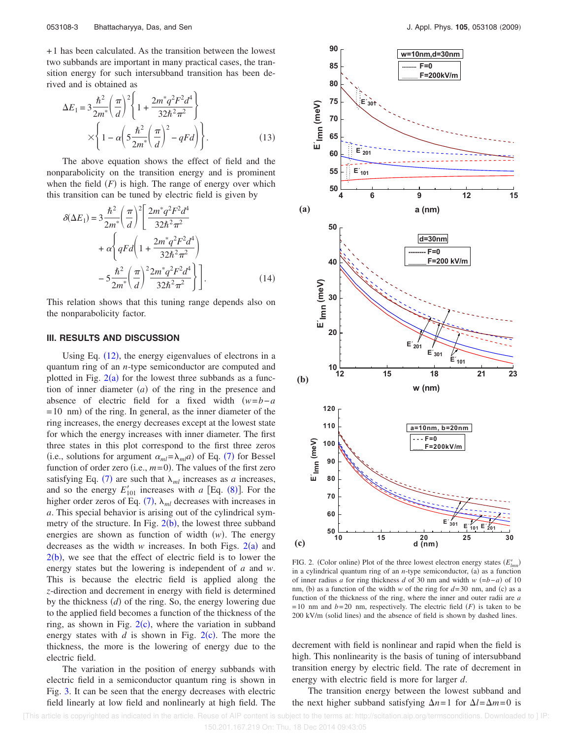+1 has been calculated. As the transition between the lowest two subbands are important in many practical cases, the transition energy for such intersubband transition has been derived and is obtained as

$$
\Delta E_1 = 3 \frac{\hbar^2}{2m^*} \left(\frac{\pi}{d}\right)^2 \left\{ 1 + \frac{2m^*q^2 F^2 d^4}{32\hbar^2 \pi^2} \right\}
$$

$$
\times \left\{ 1 - \alpha \left( 5 \frac{\hbar^2}{2m^*} \left(\frac{\pi}{d}\right)^2 - qFd \right) \right\}.
$$
(13)

The above equation shows the effect of field and the nonparabolicity on the transition energy and is prominent when the field  $(F)$  is high. The range of energy over which this transition can be tuned by electric field is given by

$$
\delta(\Delta E_1) = 3 \frac{\hbar^2}{2m^*} \left(\frac{\pi}{d}\right)^2 \left[\frac{2m^*q^2F^2d^4}{32\hbar^2\pi^2} + \alpha \left\{ qFd \left(1 + \frac{2m^*q^2F^2d^4}{32\hbar^2\pi^2}\right) - 5\frac{\hbar^2}{2m^*} \left(\frac{\pi}{d}\right)^2 \frac{2m^*q^2F^2d^4}{32\hbar^2\pi^2} \right\} \right].
$$
\n(14)

This relation shows that this tuning range depends also on the nonparabolicity factor.

# **III. RESULTS AND DISCUSSION**

Using Eq.  $(12)$ , the energy eigenvalues of electrons in a quantum ring of an *n*-type semiconductor are computed and plotted in Fig.  $2(a)$  for the lowest three subbands as a function of inner diameter  $(a)$  of the ring in the presence and absence of electric field for a fixed width  $(w=b-a$  $=$  10 nm) of the ring. In general, as the inner diameter of the ring increases, the energy decreases except at the lowest state for which the energy increases with inner diameter. The first three states in this plot correspond to the first three zeros (i.e., solutions for argument  $\alpha_{ml} = \lambda_{ml} a$ ) of Eq. (7) for Bessel function of order zero (i.e.,  $m=0$ ). The values of the first zero satisfying Eq. (7) are such that  $\lambda_{ml}$  increases as *a* increases, and so the energy  $E'_{101}$  increases with *a* [Eq. (8)]. For the higher order zeros of Eq.  $(7)$ ,  $\lambda_{ml}$  decreases with increases in *a*. This special behavior is arising out of the cylindrical symmetry of the structure. In Fig.  $2(b)$ , the lowest three subband energies are shown as function of width  $(w)$ . The energy decreases as the width  $w$  increases. In both Figs.  $2(a)$  and  $2(b)$ , we see that the effect of electric field is to lower the energy states but the lowering is independent of *a* and *w*. This is because the electric field is applied along the *z*-direction and decrement in energy with field is determined by the thickness (*d*) of the ring. So, the energy lowering due to the applied field becomes a function of the thickness of the ring, as shown in Fig.  $2(c)$ , where the variation in subband energy states with  $d$  is shown in Fig. 2(c). The more the thickness, the more is the lowering of energy due to the electric field.

The variation in the position of energy subbands with electric field in a semiconductor quantum ring is shown in Fig. 3. It can be seen that the energy decreases with electric field linearly at low field and nonlinearly at high field. The



FIG. 2. (Color online) Plot of the three lowest electron energy states  $(E'_{lmn})$ in a cylindrical quantum ring of an  $n$ -type semiconductor, (a) as a function of inner radius *a* for ring thickness *d* of 30 nm and width *w*  $(=b-a)$  of 10 nm, (b) as a function of the width *w* of the ring for  $d=30$  nm, and (c) as a function of the thickness of the ring, where the inner and outer radii are *a*  $=10$  nm and  $b=20$  nm, respectively. The electric field *(F)* is taken to be 200 kV/m (solid lines) and the absence of field is shown by dashed lines.

decrement with field is nonlinear and rapid when the field is high. This nonlinearity is the basis of tuning of intersubband transition energy by electric field. The rate of decrement in energy with electric field is more for larger *d*.

The transition energy between the lowest subband and the next higher subband satisfying  $\Delta n = 1$  for  $\Delta l = \Delta m = 0$  is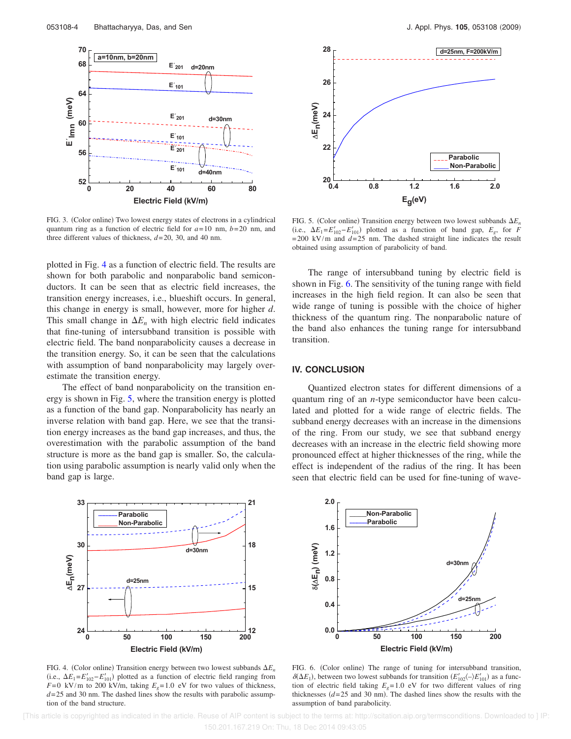

FIG. 3. (Color online) Two lowest energy states of electrons in a cylindrical quantum ring as a function of electric field for *a*=10 nm, *b*=20 nm, and three different values of thickness, *d*=20, 30, and 40 nm.

plotted in Fig. 4 as a function of electric field. The results are shown for both parabolic and nonparabolic band semiconductors. It can be seen that as electric field increases, the transition energy increases, i.e., blueshift occurs. In general, this change in energy is small, however, more for higher *d*. This small change in  $\Delta E_n$  with high electric field indicates that fine-tuning of intersubband transition is possible with electric field. The band nonparabolicity causes a decrease in the transition energy. So, it can be seen that the calculations with assumption of band nonparabolicity may largely overestimate the transition energy.

The effect of band nonparabolicity on the transition energy is shown in Fig. 5, where the transition energy is plotted as a function of the band gap. Nonparabolicity has nearly an inverse relation with band gap. Here, we see that the transition energy increases as the band gap increases, and thus, the overestimation with the parabolic assumption of the band structure is more as the band gap is smaller. So, the calculation using parabolic assumption is nearly valid only when the band gap is large.



FIG. 4. (Color online) Transition energy between two lowest subbands  $\Delta E_n$ (i.e.,  $\Delta E_1 = E'_{102} - E'_{101}$ ) plotted as a function of electric field ranging from *F*=0 kV/m to 200 kV/m, taking  $E_e$ =1.0 eV for two values of thickness,  $d=25$  and 30 nm. The dashed lines show the results with parabolic assumption of the band structure.



FIG. 5. (Color online) Transition energy between two lowest subbands  $\Delta E_n$ (i.e.,  $\Delta E_1 = E'_{102} - E'_{101}$ ) plotted as a function of band gap,  $E_g$ , for *F*  $=200$  kV/m and  $d=25$  nm. The dashed straight line indicates the result obtained using assumption of parabolicity of band.

The range of intersubband tuning by electric field is shown in Fig. 6. The sensitivity of the tuning range with field increases in the high field region. It can also be seen that wide range of tuning is possible with the choice of higher thickness of the quantum ring. The nonparabolic nature of the band also enhances the tuning range for intersubband transition.

# **IV. CONCLUSION**

Quantized electron states for different dimensions of a quantum ring of an *n*-type semiconductor have been calculated and plotted for a wide range of electric fields. The subband energy decreases with an increase in the dimensions of the ring. From our study, we see that subband energy decreases with an increase in the electric field showing more pronounced effect at higher thicknesses of the ring, while the effect is independent of the radius of the ring. It has been seen that electric field can be used for fine-tuning of wave-



FIG. 6. (Color online) The range of tuning for intersubband transition,  $\delta(\Delta E_1)$ , between two lowest subbands for transition  $(E'_{102} \langle -\rangle E'_{101})$  as a function of electric field taking  $E<sub>g</sub>=1.0$  eV for two different values of ring thicknesses  $(d=25 \text{ and } 30 \text{ nm})$ . The dashed lines show the results with the assumption of band parabolicity.

 [This article is copyrighted as indicated in the article. Reuse of AIP content is subject to the terms at: http://scitation.aip.org/termsconditions. Downloaded to ] IP: 150.201.167.219 On: Thu, 18 Dec 2014 09:43:05